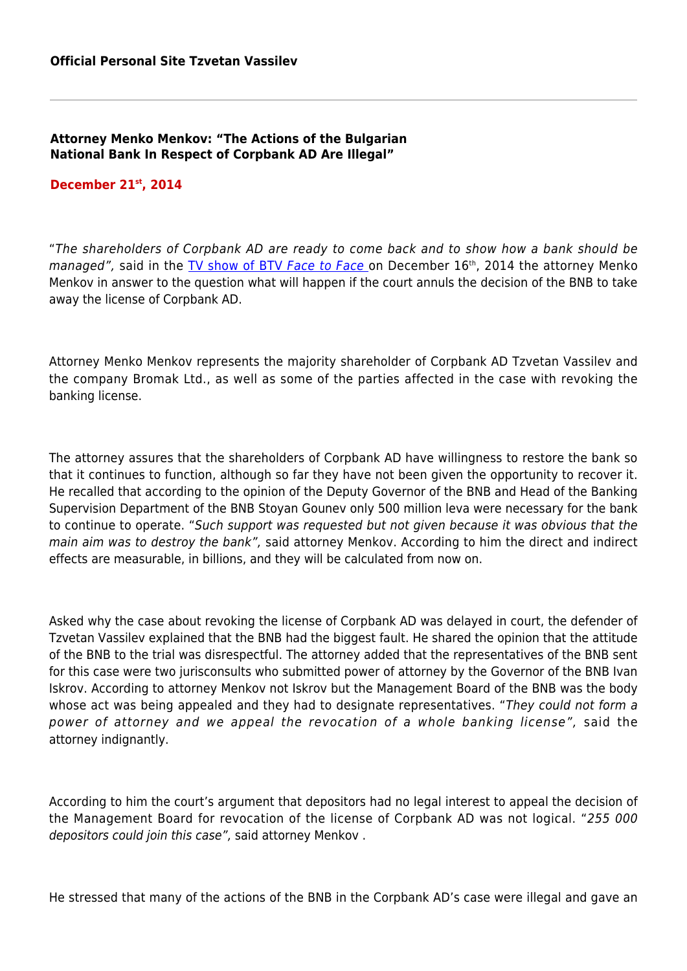## **Attorney Menko Menkov: "The Actions of the Bulgarian National Bank In Respect of Corpbank AD Аre Illegal"**

## **December 21st, 2014**

"The shareholders of Corpbank AD are ready to come back and to show how a bank should be managed", said in the [TV show of BTV](http://www.btv.bg/video/shows/lice-v-lice/videos/menko-menkov-cvetan-vasilev-znae-na-kogo-e-zhertva.html) [Face to Face](http://www.btv.bg/video/shows/lice-v-lice/videos/menko-menkov-cvetan-vasilev-znae-na-kogo-e-zhertva.html) on December 16<sup>th</sup>, 2014 the attorney Menko Menkov in answer to the question what will happen if the court annuls the decision of the BNB to take away the license of Corpbank AD.

Attorney Menko Menkov represents the majority shareholder of Corpbank AD Tzvetan Vassilev and the company Bromak Ltd., as well as some of the parties affected in the case with revoking the banking license.

The attorney assures that the shareholders of Corpbank AD have willingness to restore the bank so that it continues to function, although so far they have not been given the opportunity to recover it. He recalled that according to the opinion of the Deputy Governor of the BNB and Head of the Banking Supervision Department of the BNB Stoyan Gounev only 500 million leva were necessary for the bank to continue to operate. "Such support was requested but not given because it was obvious that the main aim was to destroy the bank", said attorney Menkov. According to him the direct and indirect effects are measurable, in billions, and they will be calculated from now on.

Asked why the case about revoking the license of Corpbank AD was delayed in court, the defender of Tzvetan Vassilev explained that the BNB had the biggest fault. He shared the opinion that the attitude of the BNB to the trial was disrespectful. The attorney added that the representatives of the BNB sent for this case were two jurisconsults who submitted power of attorney by the Governor of the BNB Ivan Iskrov. According to attorney Menkov not Iskrov but the Management Board of the BNB was the body whose act was being appealed and they had to designate representatives. "They could not form a power of attorney and we appeal the revocation of a whole banking license", said the attorney indignantly.

According to him the court's argument that depositors had no legal interest to appeal the decision of the Management Board for revocation of the license of Corpbank AD was not logical. "255 000 depositors could join this case", said attorney Menkov .

He stressed that many of the actions of the BNB in the Corpbank AD's case were illegal and gave an